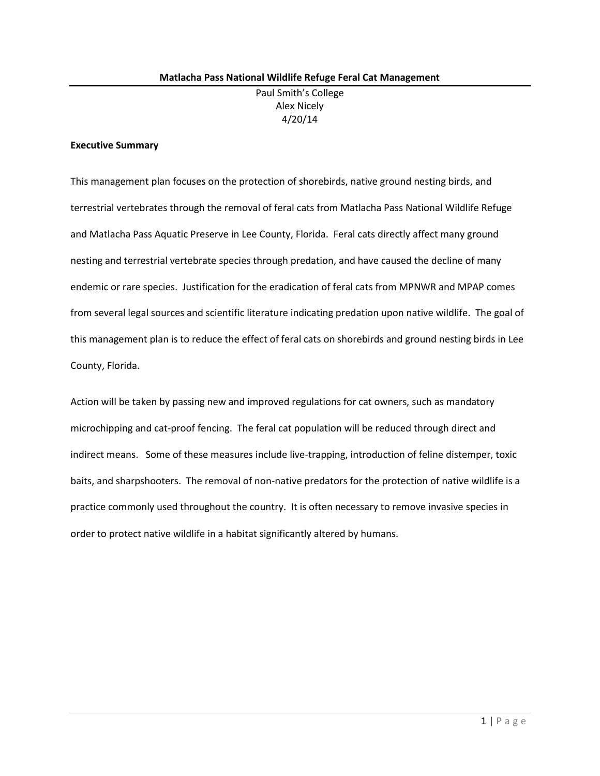## **Executive Summary**

This management plan focuses on the protection of shorebirds, native ground nesting birds, and terrestrial vertebrates through the removal of feral cats from Matlacha Pass National Wildlife Refuge and Matlacha Pass Aquatic Preserve in Lee County, Florida. Feral cats directly affect many ground nesting and terrestrial vertebrate species through predation, and have caused the decline of many endemic or rare species. Justification for the eradication of feral cats from MPNWR and MPAP comes from several legal sources and scientific literature indicating predation upon native wildlife. The goal of this management plan is to reduce the effect of feral cats on shorebirds and ground nesting birds in Lee County, Florida.

Action will be taken by passing new and improved regulations for cat owners, such as mandatory microchipping and cat-proof fencing. The feral cat population will be reduced through direct and indirect means. Some of these measures include live-trapping, introduction of feline distemper, toxic baits, and sharpshooters. The removal of non-native predators for the protection of native wildlife is a practice commonly used throughout the country. It is often necessary to remove invasive species in order to protect native wildlife in a habitat significantly altered by humans.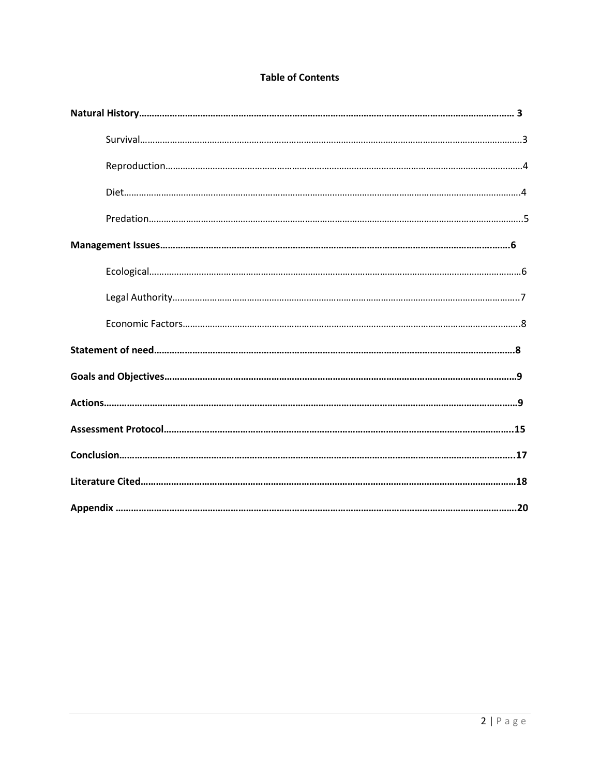# **Table of Contents**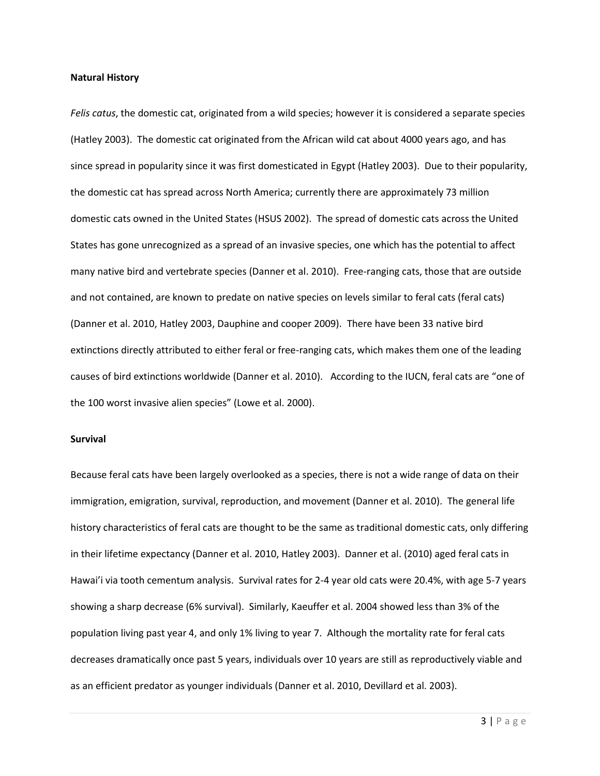#### **Natural History**

*Felis catus*, the domestic cat, originated from a wild species; however it is considered a separate species (Hatley 2003). The domestic cat originated from the African wild cat about 4000 years ago, and has since spread in popularity since it was first domesticated in Egypt (Hatley 2003). Due to their popularity, the domestic cat has spread across North America; currently there are approximately 73 million domestic cats owned in the United States (HSUS 2002). The spread of domestic cats across the United States has gone unrecognized as a spread of an invasive species, one which has the potential to affect many native bird and vertebrate species (Danner et al. 2010). Free-ranging cats, those that are outside and not contained, are known to predate on native species on levels similar to feral cats (feral cats) (Danner et al. 2010, Hatley 2003, Dauphine and cooper 2009). There have been 33 native bird extinctions directly attributed to either feral or free-ranging cats, which makes them one of the leading causes of bird extinctions worldwide (Danner et al. 2010). According to the IUCN, feral cats are "one of the 100 worst invasive alien species" (Lowe et al. 2000).

#### **Survival**

Because feral cats have been largely overlooked as a species, there is not a wide range of data on their immigration, emigration, survival, reproduction, and movement (Danner et al. 2010). The general life history characteristics of feral cats are thought to be the same as traditional domestic cats, only differing in their lifetime expectancy (Danner et al. 2010, Hatley 2003). Danner et al. (2010) aged feral cats in Hawai'i via tooth cementum analysis. Survival rates for 2-4 year old cats were 20.4%, with age 5-7 years showing a sharp decrease (6% survival). Similarly, Kaeuffer et al. 2004 showed less than 3% of the population living past year 4, and only 1% living to year 7. Although the mortality rate for feral cats decreases dramatically once past 5 years, individuals over 10 years are still as reproductively viable and as an efficient predator as younger individuals (Danner et al. 2010, Devillard et al. 2003).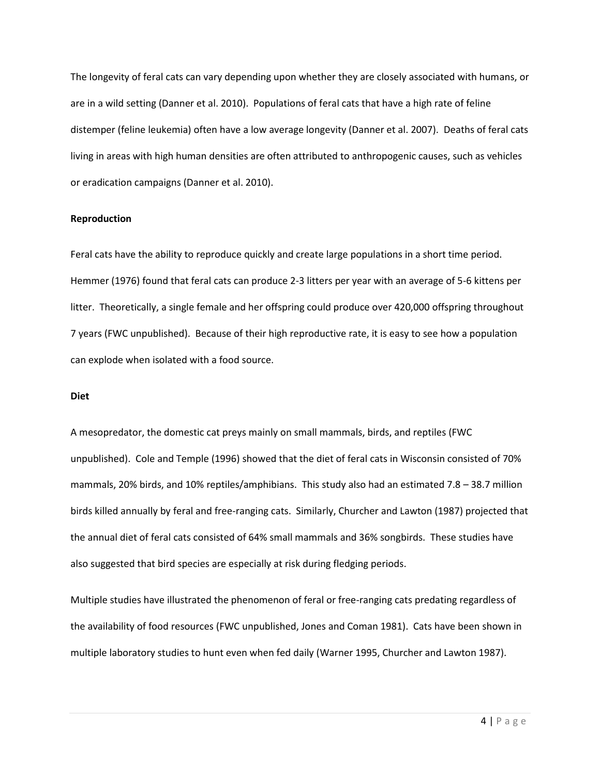The longevity of feral cats can vary depending upon whether they are closely associated with humans, or are in a wild setting (Danner et al. 2010). Populations of feral cats that have a high rate of feline distemper (feline leukemia) often have a low average longevity (Danner et al. 2007). Deaths of feral cats living in areas with high human densities are often attributed to anthropogenic causes, such as vehicles or eradication campaigns (Danner et al. 2010).

### **Reproduction**

Feral cats have the ability to reproduce quickly and create large populations in a short time period. Hemmer (1976) found that feral cats can produce 2-3 litters per year with an average of 5-6 kittens per litter. Theoretically, a single female and her offspring could produce over 420,000 offspring throughout 7 years (FWC unpublished). Because of their high reproductive rate, it is easy to see how a population can explode when isolated with a food source.

### **Diet**

A mesopredator, the domestic cat preys mainly on small mammals, birds, and reptiles (FWC unpublished). Cole and Temple (1996) showed that the diet of feral cats in Wisconsin consisted of 70% mammals, 20% birds, and 10% reptiles/amphibians. This study also had an estimated 7.8 – 38.7 million birds killed annually by feral and free-ranging cats. Similarly, Churcher and Lawton (1987) projected that the annual diet of feral cats consisted of 64% small mammals and 36% songbirds. These studies have also suggested that bird species are especially at risk during fledging periods.

Multiple studies have illustrated the phenomenon of feral or free-ranging cats predating regardless of the availability of food resources (FWC unpublished, Jones and Coman 1981). Cats have been shown in multiple laboratory studies to hunt even when fed daily (Warner 1995, Churcher and Lawton 1987).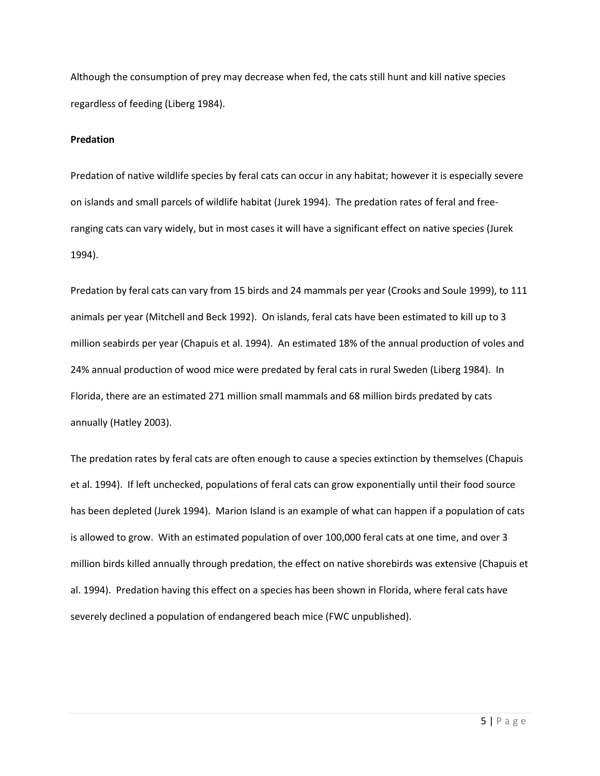Although the consumption of prey may decrease when fed, the cats still hunt and kill native species regardless of feeding (Liberg 1984).

### **Predation**

Predation of native wildlife species by feral cats can occur in any habitat; however it is especially severe on islands and small parcels of wildlife habitat (Jurek 1994). The predation rates of feral and freeranging cats can vary widely, but in most cases it will have a significant effect on native species (Jurek 1994).

Predation by feral cats can vary from 15 birds and 24 mammals per year (Crooks and Soule 1999), to 111 animals per year (Mitchell and Beck 1992). On islands, feral cats have been estimated to kill up to 3 million seabirds per year (Chapuis et al. 1994). An estimated 18% of the annual production of voles and 24% annual production of wood mice were predated by feral cats in rural Sweden (Liberg 1984). In Florida, there are an estimated 271 million small mammals and 68 million birds predated by cats annually (Hatley 2003).

The predation rates by feral cats are often enough to cause a species extinction by themselves (Chapuis et al. 1994). If left unchecked, populations of feral cats can grow exponentially until their food source has been depleted (Jurek 1994). Marion Island is an example of what can happen if a population of cats is allowed to grow. With an estimated population of over 100,000 feral cats at one time, and over 3 million birds killed annually through predation, the effect on native shorebirds was extensive (Chapuis et al. 1994). Predation having this effect on a species has been shown in Florida, where feral cats have severely declined a population of endangered beach mice (FWC unpublished).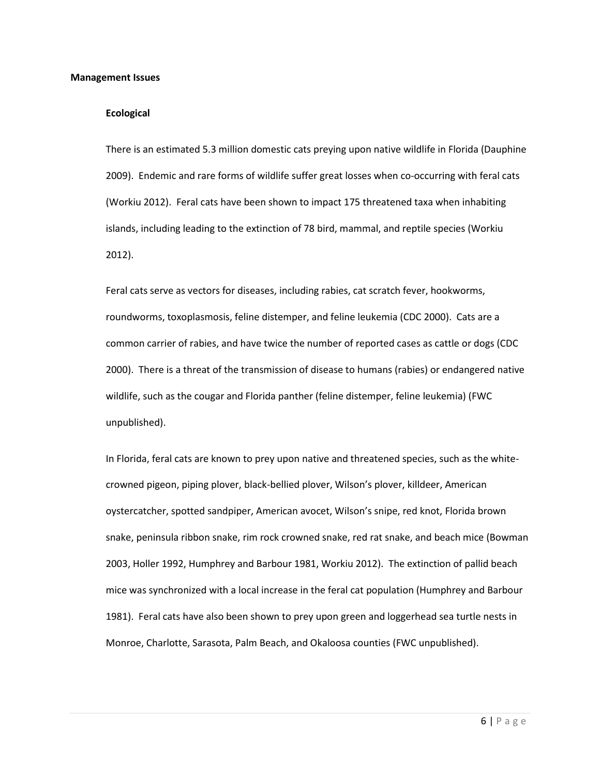#### **Management Issues**

### **Ecological**

There is an estimated 5.3 million domestic cats preying upon native wildlife in Florida (Dauphine 2009). Endemic and rare forms of wildlife suffer great losses when co-occurring with feral cats (Workiu 2012). Feral cats have been shown to impact 175 threatened taxa when inhabiting islands, including leading to the extinction of 78 bird, mammal, and reptile species (Workiu 2012).

Feral cats serve as vectors for diseases, including rabies, cat scratch fever, hookworms, roundworms, toxoplasmosis, feline distemper, and feline leukemia (CDC 2000). Cats are a common carrier of rabies, and have twice the number of reported cases as cattle or dogs (CDC 2000). There is a threat of the transmission of disease to humans (rabies) or endangered native wildlife, such as the cougar and Florida panther (feline distemper, feline leukemia) (FWC unpublished).

In Florida, feral cats are known to prey upon native and threatened species, such as the whitecrowned pigeon, piping plover, black-bellied plover, Wilson's plover, killdeer, American oystercatcher, spotted sandpiper, American avocet, Wilson's snipe, red knot, Florida brown snake, peninsula ribbon snake, rim rock crowned snake, red rat snake, and beach mice (Bowman 2003, Holler 1992, Humphrey and Barbour 1981, Workiu 2012). The extinction of pallid beach mice was synchronized with a local increase in the feral cat population (Humphrey and Barbour 1981). Feral cats have also been shown to prey upon green and loggerhead sea turtle nests in Monroe, Charlotte, Sarasota, Palm Beach, and Okaloosa counties (FWC unpublished).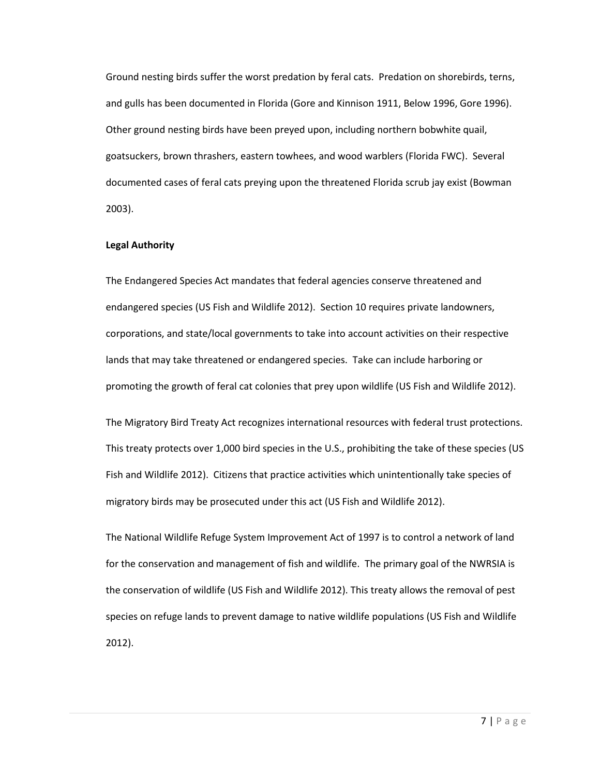Ground nesting birds suffer the worst predation by feral cats. Predation on shorebirds, terns, and gulls has been documented in Florida (Gore and Kinnison 1911, Below 1996, Gore 1996). Other ground nesting birds have been preyed upon, including northern bobwhite quail, goatsuckers, brown thrashers, eastern towhees, and wood warblers (Florida FWC). Several documented cases of feral cats preying upon the threatened Florida scrub jay exist (Bowman 2003).

### **Legal Authority**

The Endangered Species Act mandates that federal agencies conserve threatened and endangered species (US Fish and Wildlife 2012). Section 10 requires private landowners, corporations, and state/local governments to take into account activities on their respective lands that may take threatened or endangered species. Take can include harboring or promoting the growth of feral cat colonies that prey upon wildlife (US Fish and Wildlife 2012).

The Migratory Bird Treaty Act recognizes international resources with federal trust protections. This treaty protects over 1,000 bird species in the U.S., prohibiting the take of these species (US Fish and Wildlife 2012). Citizens that practice activities which unintentionally take species of migratory birds may be prosecuted under this act (US Fish and Wildlife 2012).

The National Wildlife Refuge System Improvement Act of 1997 is to control a network of land for the conservation and management of fish and wildlife. The primary goal of the NWRSIA is the conservation of wildlife (US Fish and Wildlife 2012). This treaty allows the removal of pest species on refuge lands to prevent damage to native wildlife populations (US Fish and Wildlife 2012).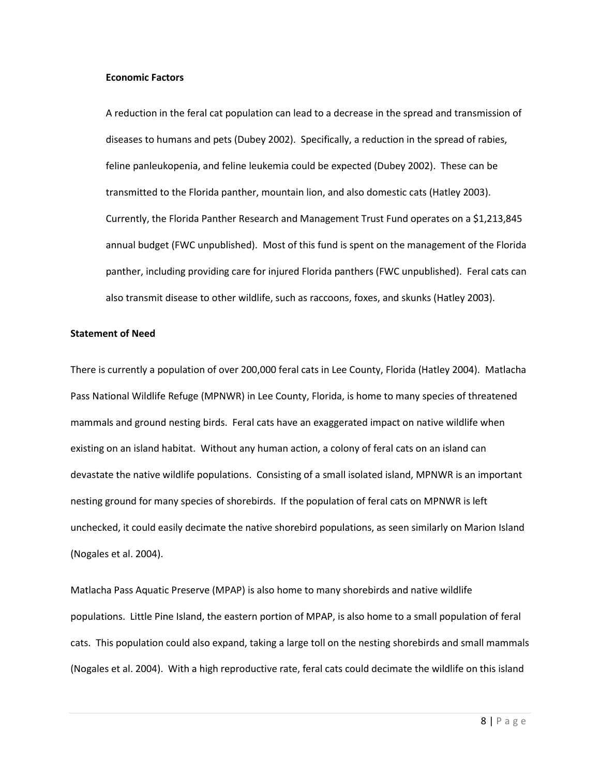#### **Economic Factors**

A reduction in the feral cat population can lead to a decrease in the spread and transmission of diseases to humans and pets (Dubey 2002). Specifically, a reduction in the spread of rabies, feline panleukopenia, and feline leukemia could be expected (Dubey 2002). These can be transmitted to the Florida panther, mountain lion, and also domestic cats (Hatley 2003). Currently, the Florida Panther Research and Management Trust Fund operates on a \$1,213,845 annual budget (FWC unpublished). Most of this fund is spent on the management of the Florida panther, including providing care for injured Florida panthers (FWC unpublished). Feral cats can also transmit disease to other wildlife, such as raccoons, foxes, and skunks (Hatley 2003).

#### **Statement of Need**

There is currently a population of over 200,000 feral cats in Lee County, Florida (Hatley 2004). Matlacha Pass National Wildlife Refuge (MPNWR) in Lee County, Florida, is home to many species of threatened mammals and ground nesting birds. Feral cats have an exaggerated impact on native wildlife when existing on an island habitat. Without any human action, a colony of feral cats on an island can devastate the native wildlife populations. Consisting of a small isolated island, MPNWR is an important nesting ground for many species of shorebirds. If the population of feral cats on MPNWR is left unchecked, it could easily decimate the native shorebird populations, as seen similarly on Marion Island (Nogales et al. 2004).

Matlacha Pass Aquatic Preserve (MPAP) is also home to many shorebirds and native wildlife populations. Little Pine Island, the eastern portion of MPAP, is also home to a small population of feral cats. This population could also expand, taking a large toll on the nesting shorebirds and small mammals (Nogales et al. 2004). With a high reproductive rate, feral cats could decimate the wildlife on this island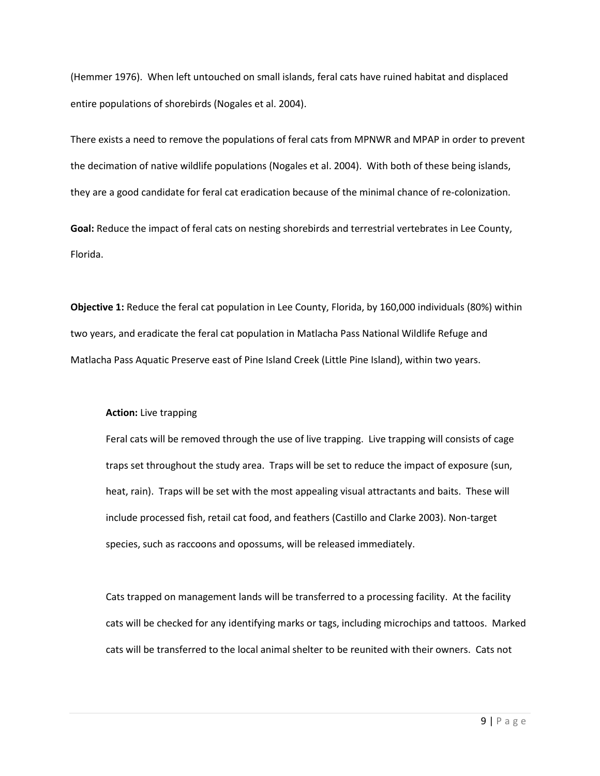(Hemmer 1976). When left untouched on small islands, feral cats have ruined habitat and displaced entire populations of shorebirds (Nogales et al. 2004).

There exists a need to remove the populations of feral cats from MPNWR and MPAP in order to prevent the decimation of native wildlife populations (Nogales et al. 2004). With both of these being islands, they are a good candidate for feral cat eradication because of the minimal chance of re-colonization.

**Goal:** Reduce the impact of feral cats on nesting shorebirds and terrestrial vertebrates in Lee County, Florida.

**Objective 1:** Reduce the feral cat population in Lee County, Florida, by 160,000 individuals (80%) within two years, and eradicate the feral cat population in Matlacha Pass National Wildlife Refuge and Matlacha Pass Aquatic Preserve east of Pine Island Creek (Little Pine Island), within two years.

### **Action:** Live trapping

Feral cats will be removed through the use of live trapping. Live trapping will consists of cage traps set throughout the study area. Traps will be set to reduce the impact of exposure (sun, heat, rain). Traps will be set with the most appealing visual attractants and baits. These will include processed fish, retail cat food, and feathers (Castillo and Clarke 2003). Non-target species, such as raccoons and opossums, will be released immediately.

Cats trapped on management lands will be transferred to a processing facility. At the facility cats will be checked for any identifying marks or tags, including microchips and tattoos. Marked cats will be transferred to the local animal shelter to be reunited with their owners. Cats not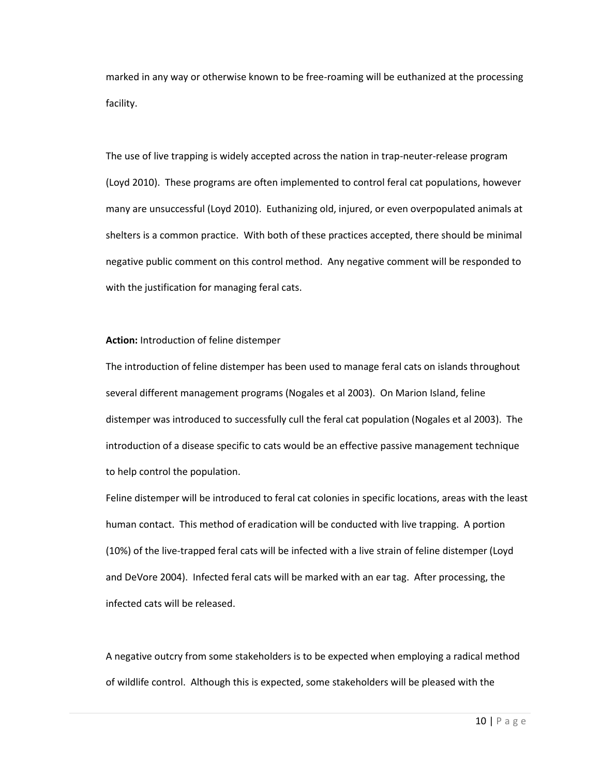marked in any way or otherwise known to be free-roaming will be euthanized at the processing facility.

The use of live trapping is widely accepted across the nation in trap-neuter-release program (Loyd 2010). These programs are often implemented to control feral cat populations, however many are unsuccessful (Loyd 2010). Euthanizing old, injured, or even overpopulated animals at shelters is a common practice. With both of these practices accepted, there should be minimal negative public comment on this control method. Any negative comment will be responded to with the justification for managing feral cats.

### **Action:** Introduction of feline distemper

The introduction of feline distemper has been used to manage feral cats on islands throughout several different management programs (Nogales et al 2003). On Marion Island, feline distemper was introduced to successfully cull the feral cat population (Nogales et al 2003). The introduction of a disease specific to cats would be an effective passive management technique to help control the population.

Feline distemper will be introduced to feral cat colonies in specific locations, areas with the least human contact. This method of eradication will be conducted with live trapping. A portion (10%) of the live-trapped feral cats will be infected with a live strain of feline distemper (Loyd and DeVore 2004). Infected feral cats will be marked with an ear tag. After processing, the infected cats will be released.

A negative outcry from some stakeholders is to be expected when employing a radical method of wildlife control. Although this is expected, some stakeholders will be pleased with the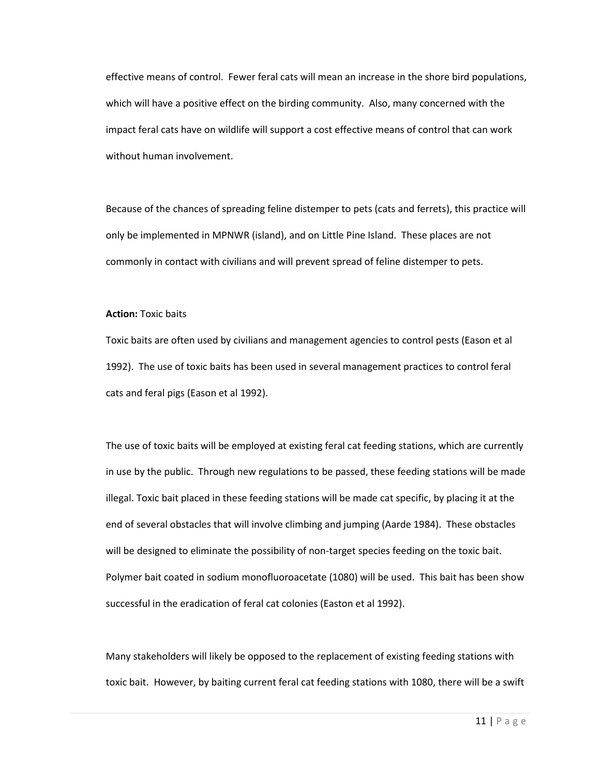effective means of control. Fewer feral cats will mean an increase in the shore bird populations, which will have a positive effect on the birding community. Also, many concerned with the impact feral cats have on wildlife will support a cost effective means of control that can work without human involvement.

Because of the chances of spreading feline distemper to pets (cats and ferrets), this practice will only be implemented in MPNWR (island), and on Little Pine Island. These places are not commonly in contact with civilians and will prevent spread of feline distemper to pets.

### **Action:** Toxic baits

Toxic baits are often used by civilians and management agencies to control pests (Eason et al 1992). The use of toxic baits has been used in several management practices to control feral cats and feral pigs (Eason et al 1992).

The use of toxic baits will be employed at existing feral cat feeding stations, which are currently in use by the public. Through new regulations to be passed, these feeding stations will be made illegal. Toxic bait placed in these feeding stations will be made cat specific, by placing it at the end of several obstacles that will involve climbing and jumping (Aarde 1984). These obstacles will be designed to eliminate the possibility of non-target species feeding on the toxic bait. Polymer bait coated in sodium monofluoroacetate (1080) will be used. This bait has been show successful in the eradication of feral cat colonies (Easton et al 1992).

Many stakeholders will likely be opposed to the replacement of existing feeding stations with toxic bait. However, by baiting current feral cat feeding stations with 1080, there will be a swift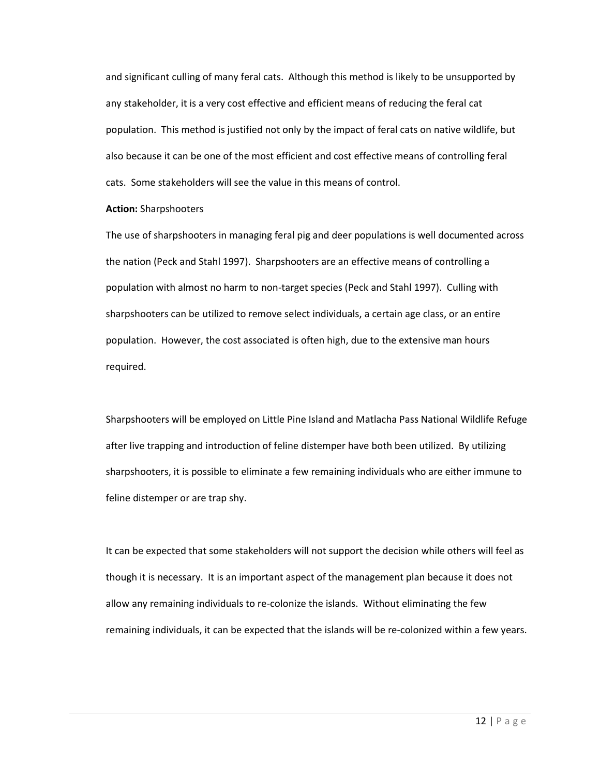and significant culling of many feral cats. Although this method is likely to be unsupported by any stakeholder, it is a very cost effective and efficient means of reducing the feral cat population. This method is justified not only by the impact of feral cats on native wildlife, but also because it can be one of the most efficient and cost effective means of controlling feral cats. Some stakeholders will see the value in this means of control.

#### **Action:** Sharpshooters

The use of sharpshooters in managing feral pig and deer populations is well documented across the nation (Peck and Stahl 1997). Sharpshooters are an effective means of controlling a population with almost no harm to non-target species (Peck and Stahl 1997). Culling with sharpshooters can be utilized to remove select individuals, a certain age class, or an entire population. However, the cost associated is often high, due to the extensive man hours required.

Sharpshooters will be employed on Little Pine Island and Matlacha Pass National Wildlife Refuge after live trapping and introduction of feline distemper have both been utilized. By utilizing sharpshooters, it is possible to eliminate a few remaining individuals who are either immune to feline distemper or are trap shy.

It can be expected that some stakeholders will not support the decision while others will feel as though it is necessary. It is an important aspect of the management plan because it does not allow any remaining individuals to re-colonize the islands. Without eliminating the few remaining individuals, it can be expected that the islands will be re-colonized within a few years.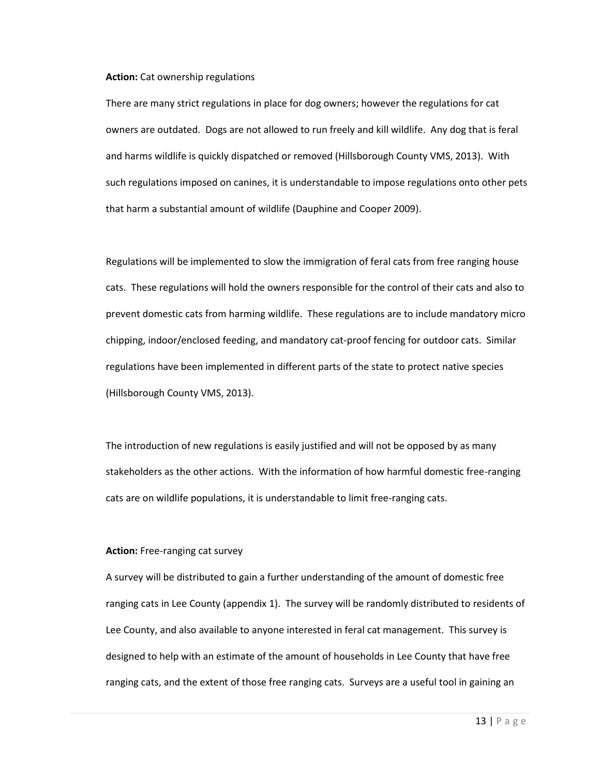#### **Action:** Cat ownership regulations

There are many strict regulations in place for dog owners; however the regulations for cat owners are outdated. Dogs are not allowed to run freely and kill wildlife. Any dog that is feral and harms wildlife is quickly dispatched or removed (Hillsborough County VMS, 2013). With such regulations imposed on canines, it is understandable to impose regulations onto other pets that harm a substantial amount of wildlife (Dauphine and Cooper 2009).

Regulations will be implemented to slow the immigration of feral cats from free ranging house cats. These regulations will hold the owners responsible for the control of their cats and also to prevent domestic cats from harming wildlife. These regulations are to include mandatory micro chipping, indoor/enclosed feeding, and mandatory cat-proof fencing for outdoor cats. Similar regulations have been implemented in different parts of the state to protect native species (Hillsborough County VMS, 2013).

The introduction of new regulations is easily justified and will not be opposed by as many stakeholders as the other actions. With the information of how harmful domestic free-ranging cats are on wildlife populations, it is understandable to limit free-ranging cats.

### **Action:** Free-ranging cat survey

A survey will be distributed to gain a further understanding of the amount of domestic free ranging cats in Lee County (appendix 1). The survey will be randomly distributed to residents of Lee County, and also available to anyone interested in feral cat management. This survey is designed to help with an estimate of the amount of households in Lee County that have free ranging cats, and the extent of those free ranging cats. Surveys are a useful tool in gaining an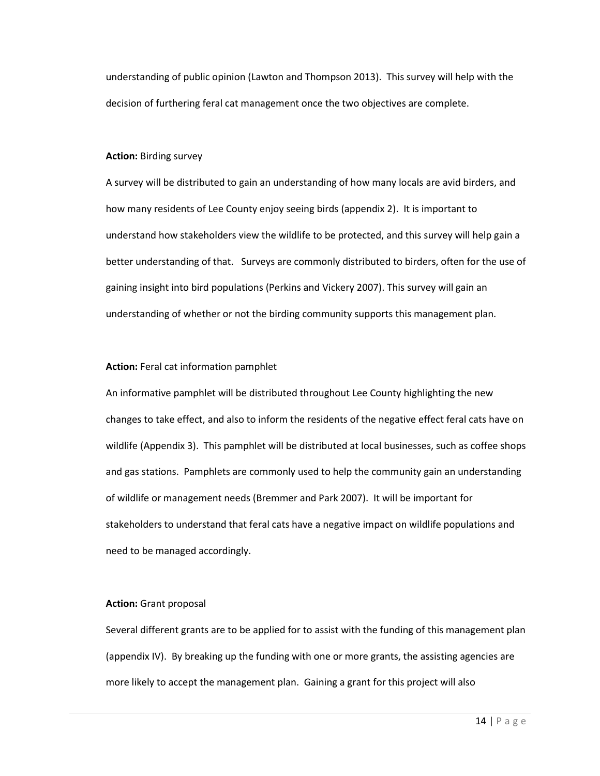understanding of public opinion (Lawton and Thompson 2013). This survey will help with the decision of furthering feral cat management once the two objectives are complete.

### **Action:** Birding survey

A survey will be distributed to gain an understanding of how many locals are avid birders, and how many residents of Lee County enjoy seeing birds (appendix 2). It is important to understand how stakeholders view the wildlife to be protected, and this survey will help gain a better understanding of that. Surveys are commonly distributed to birders, often for the use of gaining insight into bird populations (Perkins and Vickery 2007). This survey will gain an understanding of whether or not the birding community supports this management plan.

### **Action:** Feral cat information pamphlet

An informative pamphlet will be distributed throughout Lee County highlighting the new changes to take effect, and also to inform the residents of the negative effect feral cats have on wildlife (Appendix 3). This pamphlet will be distributed at local businesses, such as coffee shops and gas stations. Pamphlets are commonly used to help the community gain an understanding of wildlife or management needs (Bremmer and Park 2007). It will be important for stakeholders to understand that feral cats have a negative impact on wildlife populations and need to be managed accordingly.

#### **Action:** Grant proposal

Several different grants are to be applied for to assist with the funding of this management plan (appendix IV). By breaking up the funding with one or more grants, the assisting agencies are more likely to accept the management plan. Gaining a grant for this project will also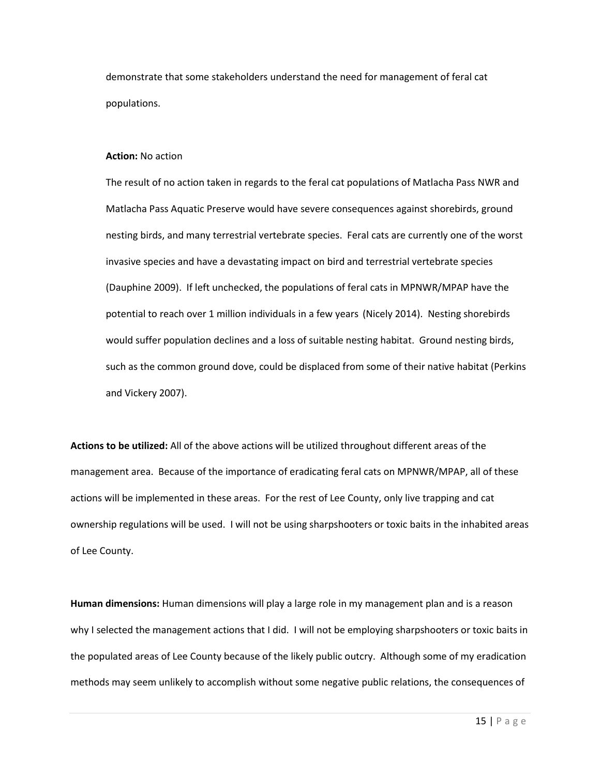demonstrate that some stakeholders understand the need for management of feral cat populations.

#### **Action:** No action

The result of no action taken in regards to the feral cat populations of Matlacha Pass NWR and Matlacha Pass Aquatic Preserve would have severe consequences against shorebirds, ground nesting birds, and many terrestrial vertebrate species. Feral cats are currently one of the worst invasive species and have a devastating impact on bird and terrestrial vertebrate species (Dauphine 2009). If left unchecked, the populations of feral cats in MPNWR/MPAP have the potential to reach over 1 million individuals in a few years (Nicely 2014). Nesting shorebirds would suffer population declines and a loss of suitable nesting habitat. Ground nesting birds, such as the common ground dove, could be displaced from some of their native habitat (Perkins and Vickery 2007).

**Actions to be utilized:** All of the above actions will be utilized throughout different areas of the management area. Because of the importance of eradicating feral cats on MPNWR/MPAP, all of these actions will be implemented in these areas. For the rest of Lee County, only live trapping and cat ownership regulations will be used. I will not be using sharpshooters or toxic baits in the inhabited areas of Lee County.

**Human dimensions:** Human dimensions will play a large role in my management plan and is a reason why I selected the management actions that I did. I will not be employing sharpshooters or toxic baits in the populated areas of Lee County because of the likely public outcry. Although some of my eradication methods may seem unlikely to accomplish without some negative public relations, the consequences of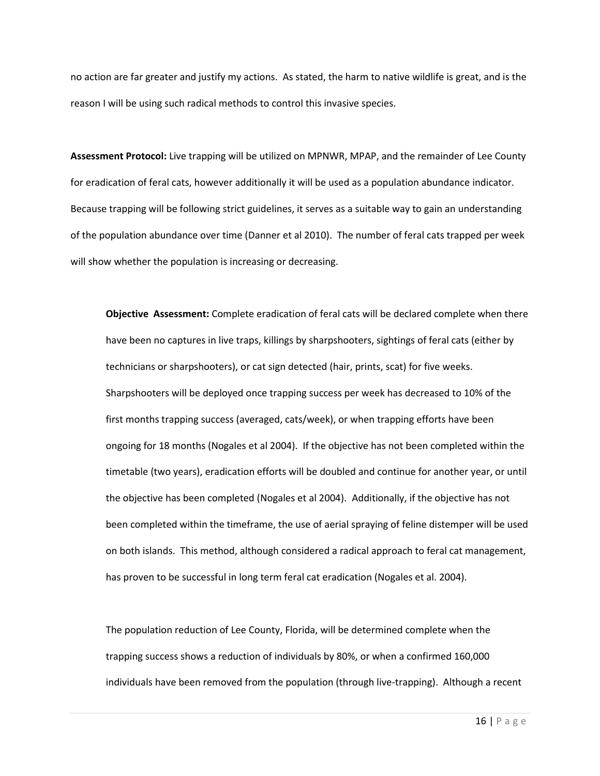no action are far greater and justify my actions. As stated, the harm to native wildlife is great, and is the reason I will be using such radical methods to control this invasive species.

**Assessment Protocol:** Live trapping will be utilized on MPNWR, MPAP, and the remainder of Lee County for eradication of feral cats, however additionally it will be used as a population abundance indicator. Because trapping will be following strict guidelines, it serves as a suitable way to gain an understanding of the population abundance over time (Danner et al 2010). The number of feral cats trapped per week will show whether the population is increasing or decreasing.

**Objective Assessment:** Complete eradication of feral cats will be declared complete when there have been no captures in live traps, killings by sharpshooters, sightings of feral cats (either by technicians or sharpshooters), or cat sign detected (hair, prints, scat) for five weeks. Sharpshooters will be deployed once trapping success per week has decreased to 10% of the first months trapping success (averaged, cats/week), or when trapping efforts have been ongoing for 18 months (Nogales et al 2004). If the objective has not been completed within the timetable (two years), eradication efforts will be doubled and continue for another year, or until the objective has been completed (Nogales et al 2004). Additionally, if the objective has not been completed within the timeframe, the use of aerial spraying of feline distemper will be used on both islands. This method, although considered a radical approach to feral cat management, has proven to be successful in long term feral cat eradication (Nogales et al. 2004).

The population reduction of Lee County, Florida, will be determined complete when the trapping success shows a reduction of individuals by 80%, or when a confirmed 160,000 individuals have been removed from the population (through live-trapping). Although a recent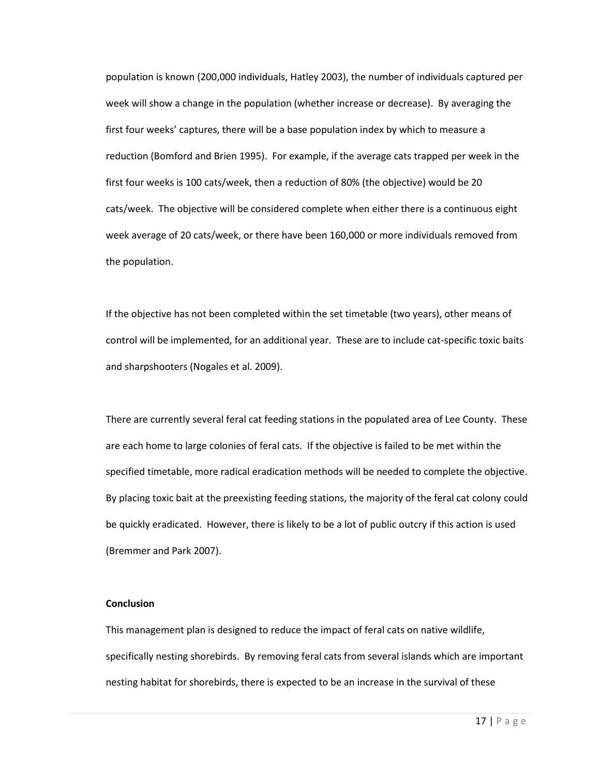population is known (200,000 individuals, Hatley 2003), the number of individuals captured per week will show a change in the population (whether increase or decrease). By averaging the first four weeks' captures, there will be a base population index by which to measure a reduction (Bomford and Brien 1995). For example, if the average cats trapped per week in the first four weeks is 100 cats/week, then a reduction of 80% (the objective) would be 20 cats/week. The objective will be considered complete when either there is a continuous eight week average of 20 cats/week, or there have been 160,000 or more individuals removed from the population.

If the objective has not been completed within the set timetable (two years), other means of control will be implemented, for an additional year. These are to include cat-specific toxic baits and sharpshooters (Nogales et al. 2009).

There are currently several feral cat feeding stations in the populated area of Lee County. These are each home to large colonies of feral cats. If the objective is failed to be met within the specified timetable, more radical eradication methods will be needed to complete the objective. By placing toxic bait at the preexisting feeding stations, the majority of the feral cat colony could be quickly eradicated. However, there is likely to be a lot of public outcry if this action is used (Bremmer and Park 2007).

### **Conclusion**

This management plan is designed to reduce the impact of feral cats on native wildlife, specifically nesting shorebirds. By removing feral cats from several islands which are important nesting habitat for shorebirds, there is expected to be an increase in the survival of these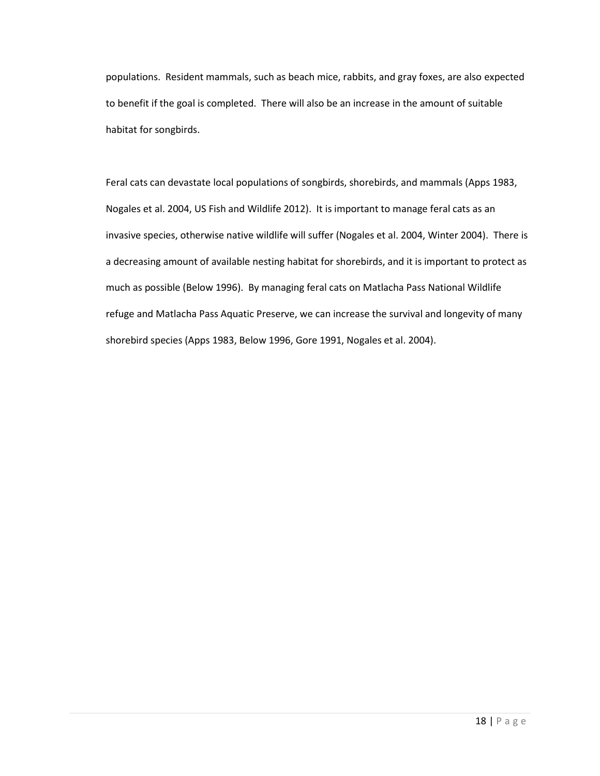populations. Resident mammals, such as beach mice, rabbits, and gray foxes, are also expected to benefit if the goal is completed. There will also be an increase in the amount of suitable habitat for songbirds.

Feral cats can devastate local populations of songbirds, shorebirds, and mammals (Apps 1983, Nogales et al. 2004, US Fish and Wildlife 2012). It is important to manage feral cats as an invasive species, otherwise native wildlife will suffer (Nogales et al. 2004, Winter 2004). There is a decreasing amount of available nesting habitat for shorebirds, and it is important to protect as much as possible (Below 1996). By managing feral cats on Matlacha Pass National Wildlife refuge and Matlacha Pass Aquatic Preserve, we can increase the survival and longevity of many shorebird species (Apps 1983, Below 1996, Gore 1991, Nogales et al. 2004).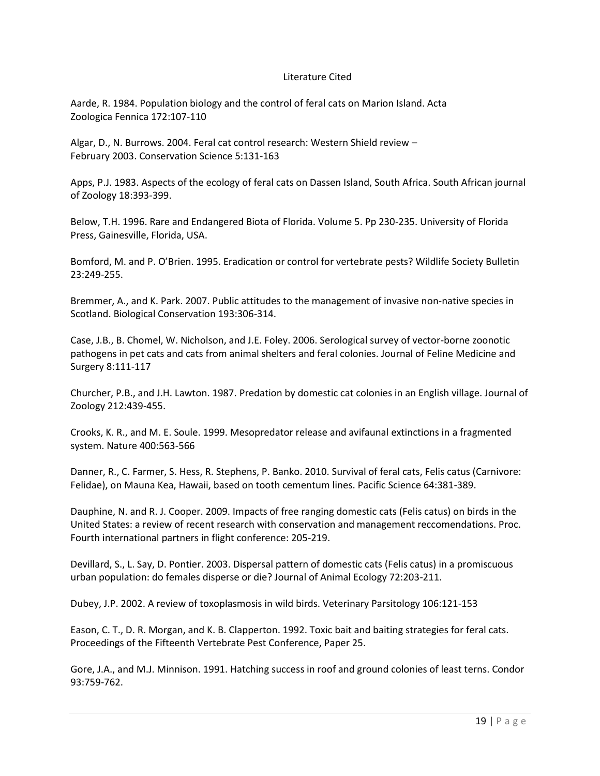### Literature Cited

Aarde, R. 1984. Population biology and the control of feral cats on Marion Island. Acta Zoologica Fennica 172:107-110

Algar, D., N. Burrows. 2004. Feral cat control research: Western Shield review – February 2003. Conservation Science 5:131-163

Apps, P.J. 1983. Aspects of the ecology of feral cats on Dassen Island, South Africa. South African journal of Zoology 18:393-399.

Below, T.H. 1996. Rare and Endangered Biota of Florida. Volume 5. Pp 230-235. University of Florida Press, Gainesville, Florida, USA.

Bomford, M. and P. O'Brien. 1995. Eradication or control for vertebrate pests? Wildlife Society Bulletin 23:249-255.

Bremmer, A., and K. Park. 2007. Public attitudes to the management of invasive non-native species in Scotland. Biological Conservation 193:306-314.

Case, J.B., B. Chomel, W. Nicholson, and J.E. Foley. 2006. Serological survey of vector-borne zoonotic pathogens in pet cats and cats from animal shelters and feral colonies. Journal of Feline Medicine and Surgery 8:111-117

Churcher, P.B., and J.H. Lawton. 1987. Predation by domestic cat colonies in an English village. Journal of Zoology 212:439-455.

Crooks, K. R., and M. E. Soule. 1999. Mesopredator release and avifaunal extinctions in a fragmented system. Nature 400:563-566

Danner, R., C. Farmer, S. Hess, R. Stephens, P. Banko. 2010. Survival of feral cats, Felis catus (Carnivore: Felidae), on Mauna Kea, Hawaii, based on tooth cementum lines. Pacific Science 64:381-389.

Dauphine, N. and R. J. Cooper. 2009. Impacts of free ranging domestic cats (Felis catus) on birds in the United States: a review of recent research with conservation and management reccomendations. Proc. Fourth international partners in flight conference: 205-219.

Devillard, S., L. Say, D. Pontier. 2003. Dispersal pattern of domestic cats (Felis catus) in a promiscuous urban population: do females disperse or die? Journal of Animal Ecology 72:203-211.

Dubey, J.P. 2002. A review of toxoplasmosis in wild birds. Veterinary Parsitology 106:121-153

Eason, C. T., D. R. Morgan, and K. B. Clapperton. 1992. Toxic bait and baiting strategies for feral cats. Proceedings of the Fifteenth Vertebrate Pest Conference, Paper 25.

Gore, J.A., and M.J. Minnison. 1991. Hatching success in roof and ground colonies of least terns. Condor 93:759-762.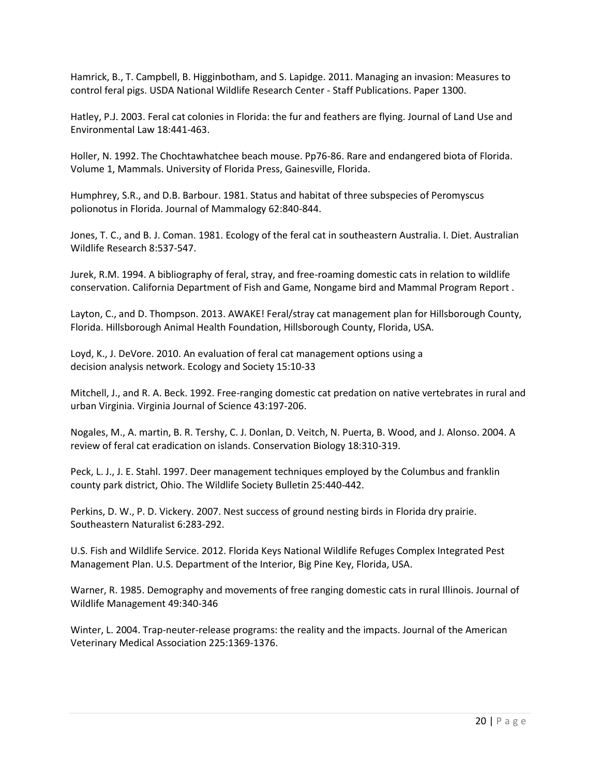Hamrick, B., T. Campbell, B. Higginbotham, and S. Lapidge. 2011. Managing an invasion: Measures to control feral pigs. USDA National Wildlife Research Center - Staff Publications. Paper 1300.

Hatley, P.J. 2003. Feral cat colonies in Florida: the fur and feathers are flying. Journal of Land Use and Environmental Law 18:441-463.

Holler, N. 1992. The Chochtawhatchee beach mouse. Pp76-86. Rare and endangered biota of Florida. Volume 1, Mammals. University of Florida Press, Gainesville, Florida.

Humphrey, S.R., and D.B. Barbour. 1981. Status and habitat of three subspecies of Peromyscus polionotus in Florida. Journal of Mammalogy 62:840-844.

Jones, T. C., and B. J. Coman. 1981. Ecology of the feral cat in southeastern Australia. I. Diet. Australian Wildlife Research 8:537-547.

Jurek, R.M. 1994. A bibliography of feral, stray, and free-roaming domestic cats in relation to wildlife conservation. California Department of Fish and Game, Nongame bird and Mammal Program Report .

Layton, C., and D. Thompson. 2013. AWAKE! Feral/stray cat management plan for Hillsborough County, Florida. Hillsborough Animal Health Foundation, Hillsborough County, Florida, USA.

Loyd, K., J. DeVore. 2010. An evaluation of feral cat management options using a decision analysis network. Ecology and Society 15:10-33

Mitchell, J., and R. A. Beck. 1992. Free-ranging domestic cat predation on native vertebrates in rural and urban Virginia. Virginia Journal of Science 43:197-206.

Nogales, M., A. martin, B. R. Tershy, C. J. Donlan, D. Veitch, N. Puerta, B. Wood, and J. Alonso. 2004. A review of feral cat eradication on islands. Conservation Biology 18:310-319.

Peck, L. J., J. E. Stahl. 1997. Deer management techniques employed by the Columbus and franklin county park district, Ohio. The Wildlife Society Bulletin 25:440-442.

Perkins, D. W., P. D. Vickery. 2007. Nest success of ground nesting birds in Florida dry prairie. Southeastern Naturalist 6:283-292.

U.S. Fish and Wildlife Service. 2012. Florida Keys National Wildlife Refuges Complex Integrated Pest Management Plan. U.S. Department of the Interior, Big Pine Key, Florida, USA.

Warner, R. 1985. Demography and movements of free ranging domestic cats in rural Illinois. Journal of Wildlife Management 49:340-346

Winter, L. 2004. Trap-neuter-release programs: the reality and the impacts. Journal of the American Veterinary Medical Association 225:1369-1376.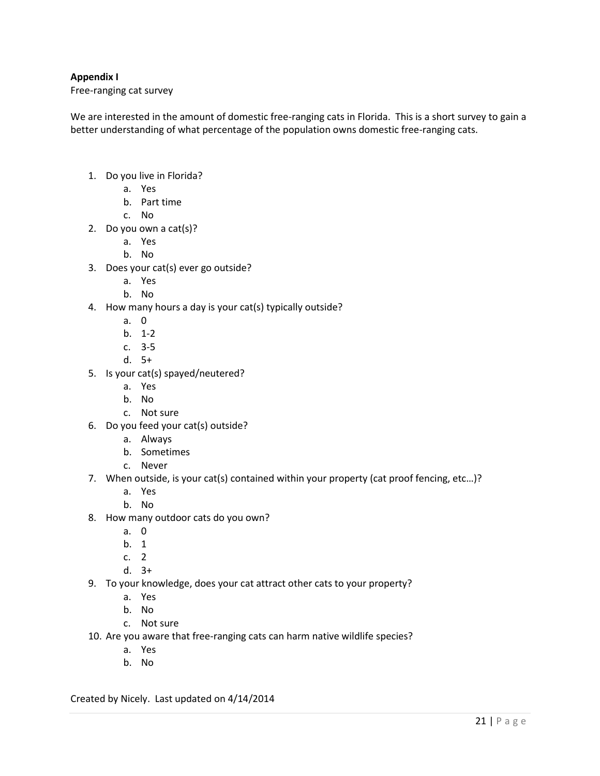## **Appendix I**

Free-ranging cat survey

We are interested in the amount of domestic free-ranging cats in Florida. This is a short survey to gain a better understanding of what percentage of the population owns domestic free-ranging cats.

- 1. Do you live in Florida?
	- a. Yes
	- b. Part time
	- c. No
- 2. Do you own a cat(s)?
	- a. Yes
	- b. No
- 3. Does your cat(s) ever go outside?
	- a. Yes
	- b. No
- 4. How many hours a day is your cat(s) typically outside?
	- a. 0
	- b. 1-2
	- c. 3-5
	- d. 5+
- 5. Is your cat(s) spayed/neutered?
	- a. Yes
	- b. No
	- c. Not sure
- 6. Do you feed your cat(s) outside?
	- a. Always
	- b. Sometimes
	- c. Never
- 7. When outside, is your cat(s) contained within your property (cat proof fencing, etc…)?
	- a. Yes
	- b. No
- 8. How many outdoor cats do you own?
	- a. 0
	- b. 1
	- c. 2
	- d. 3+
- 9. To your knowledge, does your cat attract other cats to your property?
	- a. Yes
	- b. No
	- c. Not sure
- 10. Are you aware that free-ranging cats can harm native wildlife species?
	- a. Yes
	- b. No

Created by Nicely. Last updated on 4/14/2014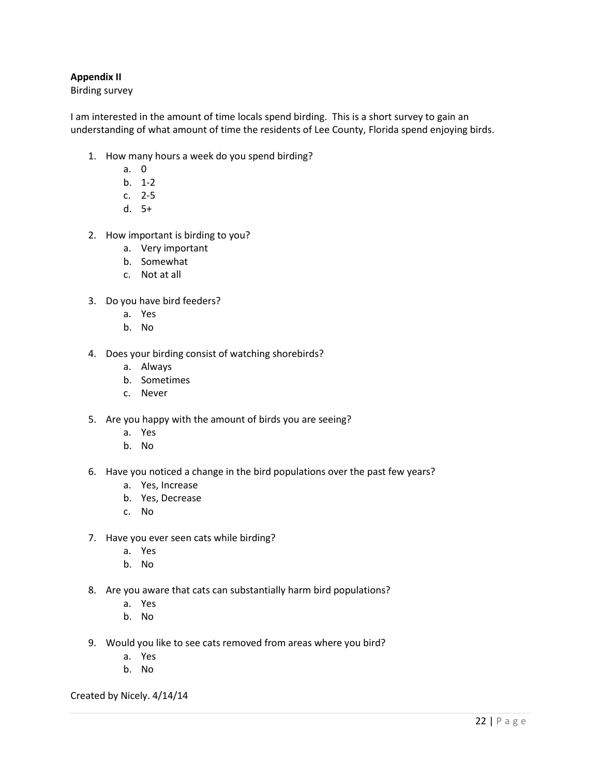## **Appendix II**

Birding survey

I am interested in the amount of time locals spend birding. This is a short survey to gain an understanding of what amount of time the residents of Lee County, Florida spend enjoying birds.

- 1. How many hours a week do you spend birding?
	- a. 0
	- b. 1-2
	- c. 2-5
	- d. 5+
- 2. How important is birding to you?
	- a. Very important
	- b. Somewhat
	- c. Not at all
- 3. Do you have bird feeders?
	- a. Yes
	- b. No
- 4. Does your birding consist of watching shorebirds?
	- a. Always
	- b. Sometimes
	- c. Never
- 5. Are you happy with the amount of birds you are seeing?
	- a. Yes
	- b. No
- 6. Have you noticed a change in the bird populations over the past few years?
	- a. Yes, Increase
	- b. Yes, Decrease
	- c. No
- 7. Have you ever seen cats while birding?
	- a. Yes
	- b. No
- 8. Are you aware that cats can substantially harm bird populations?
	- a. Yes
	- b. No
- 9. Would you like to see cats removed from areas where you bird?
	- a. Yes
	- b. No

Created by Nicely. 4/14/14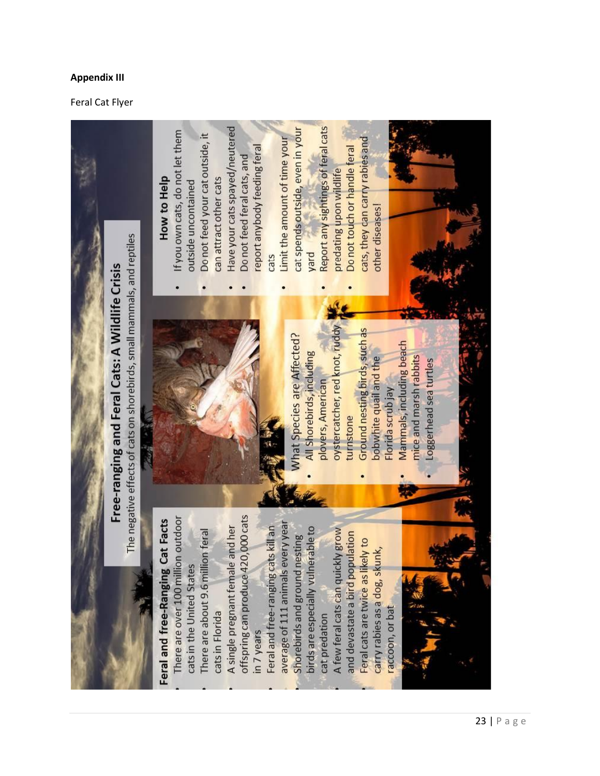## **Appendix III**

## Feral Cat Flyer

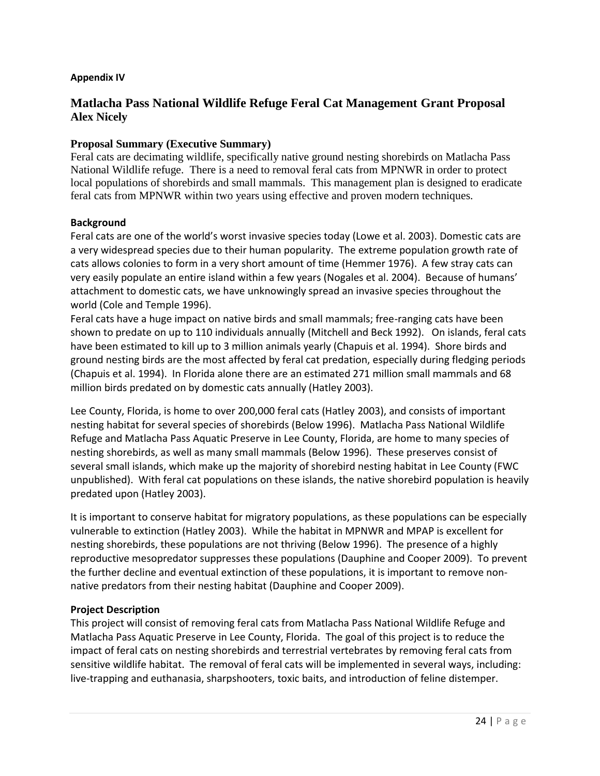## **Appendix IV**

# **Matlacha Pass National Wildlife Refuge Feral Cat Management Grant Proposal Alex Nicely**

## **Proposal Summary (Executive Summary)**

Feral cats are decimating wildlife, specifically native ground nesting shorebirds on Matlacha Pass National Wildlife refuge. There is a need to removal feral cats from MPNWR in order to protect local populations of shorebirds and small mammals. This management plan is designed to eradicate feral cats from MPNWR within two years using effective and proven modern techniques.

### **Background**

Feral cats are one of the world's worst invasive species today (Lowe et al. 2003). Domestic cats are a very widespread species due to their human popularity. The extreme population growth rate of cats allows colonies to form in a very short amount of time (Hemmer 1976). A few stray cats can very easily populate an entire island within a few years (Nogales et al. 2004). Because of humans' attachment to domestic cats, we have unknowingly spread an invasive species throughout the world (Cole and Temple 1996).

Feral cats have a huge impact on native birds and small mammals; free-ranging cats have been shown to predate on up to 110 individuals annually (Mitchell and Beck 1992). On islands, feral cats have been estimated to kill up to 3 million animals yearly (Chapuis et al. 1994). Shore birds and ground nesting birds are the most affected by feral cat predation, especially during fledging periods (Chapuis et al. 1994). In Florida alone there are an estimated 271 million small mammals and 68 million birds predated on by domestic cats annually (Hatley 2003).

Lee County, Florida, is home to over 200,000 feral cats (Hatley 2003), and consists of important nesting habitat for several species of shorebirds (Below 1996). Matlacha Pass National Wildlife Refuge and Matlacha Pass Aquatic Preserve in Lee County, Florida, are home to many species of nesting shorebirds, as well as many small mammals (Below 1996). These preserves consist of several small islands, which make up the majority of shorebird nesting habitat in Lee County (FWC unpublished). With feral cat populations on these islands, the native shorebird population is heavily predated upon (Hatley 2003).

It is important to conserve habitat for migratory populations, as these populations can be especially vulnerable to extinction (Hatley 2003). While the habitat in MPNWR and MPAP is excellent for nesting shorebirds, these populations are not thriving (Below 1996). The presence of a highly reproductive mesopredator suppresses these populations (Dauphine and Cooper 2009). To prevent the further decline and eventual extinction of these populations, it is important to remove nonnative predators from their nesting habitat (Dauphine and Cooper 2009).

## **Project Description**

This project will consist of removing feral cats from Matlacha Pass National Wildlife Refuge and Matlacha Pass Aquatic Preserve in Lee County, Florida. The goal of this project is to reduce the impact of feral cats on nesting shorebirds and terrestrial vertebrates by removing feral cats from sensitive wildlife habitat. The removal of feral cats will be implemented in several ways, including: live-trapping and euthanasia, sharpshooters, toxic baits, and introduction of feline distemper.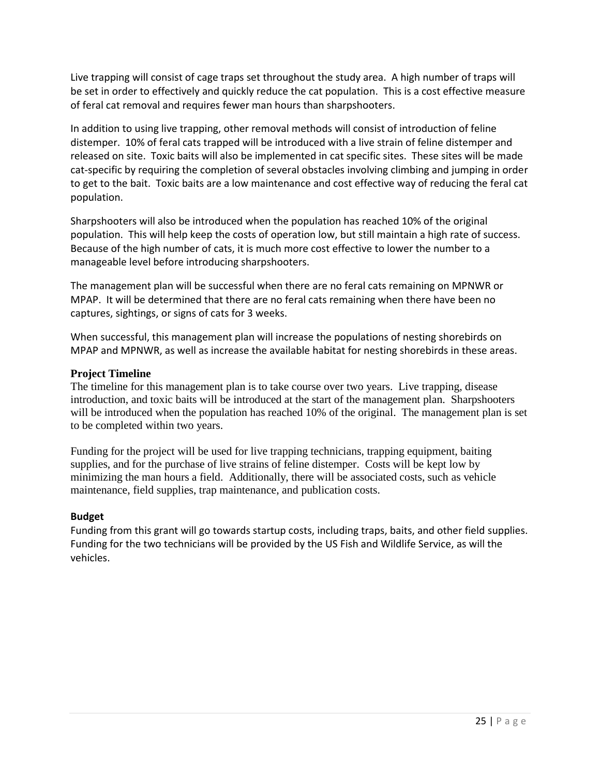Live trapping will consist of cage traps set throughout the study area. A high number of traps will be set in order to effectively and quickly reduce the cat population. This is a cost effective measure of feral cat removal and requires fewer man hours than sharpshooters.

In addition to using live trapping, other removal methods will consist of introduction of feline distemper. 10% of feral cats trapped will be introduced with a live strain of feline distemper and released on site. Toxic baits will also be implemented in cat specific sites. These sites will be made cat-specific by requiring the completion of several obstacles involving climbing and jumping in order to get to the bait. Toxic baits are a low maintenance and cost effective way of reducing the feral cat population.

Sharpshooters will also be introduced when the population has reached 10% of the original population. This will help keep the costs of operation low, but still maintain a high rate of success. Because of the high number of cats, it is much more cost effective to lower the number to a manageable level before introducing sharpshooters.

The management plan will be successful when there are no feral cats remaining on MPNWR or MPAP. It will be determined that there are no feral cats remaining when there have been no captures, sightings, or signs of cats for 3 weeks.

When successful, this management plan will increase the populations of nesting shorebirds on MPAP and MPNWR, as well as increase the available habitat for nesting shorebirds in these areas.

## **Project Timeline**

The timeline for this management plan is to take course over two years. Live trapping, disease introduction, and toxic baits will be introduced at the start of the management plan. Sharpshooters will be introduced when the population has reached 10% of the original. The management plan is set to be completed within two years.

Funding for the project will be used for live trapping technicians, trapping equipment, baiting supplies, and for the purchase of live strains of feline distemper. Costs will be kept low by minimizing the man hours a field. Additionally, there will be associated costs, such as vehicle maintenance, field supplies, trap maintenance, and publication costs.

## **Budget**

Funding from this grant will go towards startup costs, including traps, baits, and other field supplies. Funding for the two technicians will be provided by the US Fish and Wildlife Service, as will the vehicles.